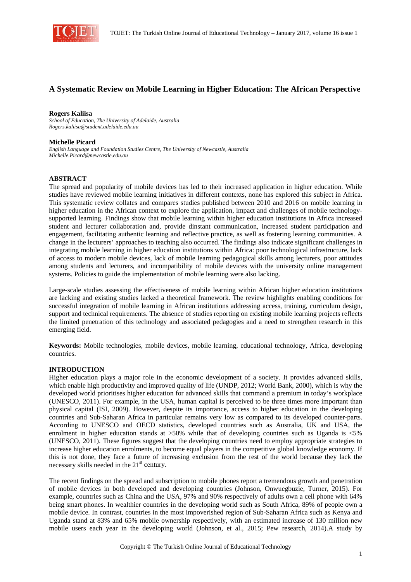

# **A Systematic Review on Mobile Learning in Higher Education: The African Perspective**

#### **Rogers Kaliisa**

*School of Education, The University of Adelaide, Australia Rogers.kaliisa@student.adelaide.edu.au* 

#### **Michelle Picard**

*English Language and Foundation Studies Centre, The University of Newcastle, Australia Michelle.Picard@newcastle.edu.au* 

### **ABSTRACT**

The spread and popularity of mobile devices has led to their increased application in higher education. While studies have reviewed mobile learning initiatives in different contexts, none has explored this subject in Africa. This systematic review collates and compares studies published between 2010 and 2016 on mobile learning in higher education in the African context to explore the application, impact and challenges of mobile technologysupported learning. Findings show that mobile learning within higher education institutions in Africa increased student and lecturer collaboration and, provide dinstant communication, increased student participation and engagement, facilitating authentic learning and reflective practice, as well as fostering learning communities. A change in the lecturers' approaches to teaching also occurred. The findings also indicate significant challenges in integrating mobile learning in higher education institutions within Africa: poor technological infrastructure, lack of access to modern mobile devices, lack of mobile learning pedagogical skills among lecturers, poor attitudes among students and lecturers, and incompatibility of mobile devices with the university online management systems. Policies to guide the implementation of mobile learning were also lacking.

Large-scale studies assessing the effectiveness of mobile learning within African higher education institutions are lacking and existing studies lacked a theoretical framework. The review highlights enabling conditions for successful integration of mobile learning in African institutions addressing access, training, curriculum design, support and technical requirements. The absence of studies reporting on existing mobile learning projects reflects the limited penetration of this technology and associated pedagogies and a need to strengthen research in this emerging field.

**Keywords:** Mobile technologies, mobile devices, mobile learning, educational technology, Africa, developing countries.

#### **INTRODUCTION**

Higher education plays a major role in the economic development of a society. It provides advanced skills, which enable high productivity and improved quality of life (UNDP, 2012; World Bank, 2000), which is why the developed world prioritises higher education for advanced skills that command a premium in today's workplace (UNESCO, 2011). For example, in the USA, human capital is perceived to be three times more important than physical capital (ISI, 2009). However, despite its importance, access to higher education in the developing countries and Sub-Saharan Africa in particular remains very low as compared to its developed counter-parts. According to UNESCO and OECD statistics, developed countries such as Australia, UK and USA, the enrolment in higher education stands at  $>50\%$  while that of developing countries such as Uganda is  $<5\%$ (UNESCO, 2011). These figures suggest that the developing countries need to employ appropriate strategies to increase higher education enrolments, to become equal players in the competitive global knowledge economy. If this is not done, they face a future of increasing exclusion from the rest of the world because they lack the necessary skills needed in the 21<sup>st</sup> century.

The recent findings on the spread and subscription to mobile phones report a tremendous growth and penetration of mobile devices in both developed and developing countries (Johnson, Onwuegbuzie, Turner, 2015). For example, countries such as China and the USA, 97% and 90% respectively of adults own a cell phone with 64% being smart phones. In wealthier countries in the developing world such as South Africa, 89% of people own a mobile device. In contrast, countries in the most impoverished region of Sub-Saharan Africa such as Kenya and Uganda stand at 83% and 65% mobile ownership respectively, with an estimated increase of 130 million new mobile users each year in the developing world (Johnson, et al., 2015; Pew research, 2014).A study by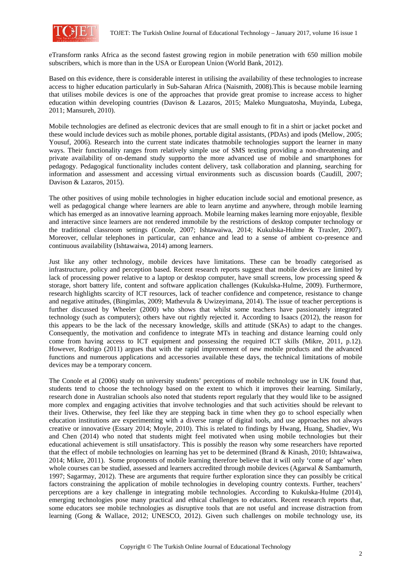

eTransform ranks Africa as the second fastest growing region in mobile penetration with 650 million mobile subscribers, which is more than in the USA or European Union (World Bank, 2012).

Based on this evidence, there is considerable interest in utilising the availability of these technologies to increase access to higher education particularly in Sub-Saharan Africa (Naismith, 2008).This is because mobile learning that utilises mobile devices is one of the approaches that provide great promise to increase access to higher education within developing countries (Davison & Lazaros, 2015; Maleko Munguatosha, Muyinda, Lubega, 2011; Mansureh, 2010).

Mobile technologies are defined as electronic devices that are small enough to fit in a shirt or jacket pocket and these would include devices such as mobile phones, portable digital assistants, (PDAs) and ipods (Mellow, 2005; Yousuf, 2006). Research into the current state indicates thatmobile technologies support the learner in many ways. Their functionality ranges from relatively simple use of SMS texting providing a non-threatening and private availability of on-demand study supportto the more advanced use of mobile and smartphones for pedagogy. Pedagogical functionality includes content delivery, task collaboration and planning, searching for information and assessment and accessing virtual environments such as discussion boards (Caudill, 2007; Davison & Lazaros, 2015).

The other positives of using mobile technologies in higher education include social and emotional presence, as well as pedagogical change where learners are able to learn anytime and anywhere, through mobile learning which has emerged as an innovative learning approach. Mobile learning makes learning more enjoyable, flexible and interactive since learners are not rendered immobile by the restrictions of desktop computer technology or the traditional classroom settings (Conole, 2007; Ishtawaiwa, 2014; Kukulska-Hulme & Traxler, 2007). Moreover, cellular telephones in particular, can enhance and lead to a sense of ambient co-presence and continuous availability (Ishtawaiwa, 2014) among learners.

Just like any other technology, mobile devices have limitations. These can be broadly categorised as infrastructure, policy and perception based. Recent research reports suggest that mobile devices are limited by lack of processing power relative to a laptop or desktop computer, have small screens, low processing speed & storage, short battery life, content and software application challenges (Kukulska-Hulme, 2009). Furthermore, research highlights scarcity of ICT resources, lack of teacher confidence and competence, resistance to change and negative attitudes, (Bingimlas, 2009; Mathevula & Uwizeyimana, 2014). The issue of teacher perceptions is further discussed by Wheeler (2000) who shows that whilst some teachers have passionately integrated technology (such as computers); others have out rightly rejected it. According to Isaacs (2012), the reason for this appears to be the lack of the necessary knowledge, skills and attitude (SKAs) to adapt to the changes. Consequently, the motivation and confidence to integrate MTs in teaching and distance learning could only come from having access to ICT equipment and possessing the required ICT skills (Mikre, 2011, p.12). However, Rodrigo (2011) argues that with the rapid improvement of new mobile products and the advanced functions and numerous applications and accessories available these days, the technical limitations of mobile devices may be a temporary concern.

The Conole et al (2006) study on university students' perceptions of mobile technology use in UK found that, students tend to choose the technology based on the extent to which it improves their learning. Similarly, research done in Australian schools also noted that students report regularly that they would like to be assigned more complex and engaging activities that involve technologies and that such activities should be relevant to their lives. Otherwise, they feel like they are stepping back in time when they go to school especially when education institutions are experimenting with a diverse range of digital tools, and use approaches not always creative or innovative (Essary 2014; Moyle, 2010). This is related to findings by Hwang, Huang, Shadiev, Wu and Chen (2014) who noted that students might feel motivated when using mobile technologies but their educational achievement is still unsatisfactory. This is possibly the reason why some researchers have reported that the effect of mobile technologies on learning has yet to be determined (Brand & Kinash, 2010; Ishtawaiwa, 2014; Mikre, 2011). Some proponents of mobile learning therefore believe that it will only 'come of age' when whole courses can be studied, assessed and learners accredited through mobile devices (Agarwal & Sambamurth, 1997; Sagarmay, 2012). These are arguments that require further exploration since they can possibly be critical factors constraining the application of mobile technologies in developing country contexts. Further, teachers' perceptions are a key challenge in integrating mobile technologies. According to Kukulska-Hulme (2014), emerging technologies pose many practical and ethical challenges to educators. Recent research reports that, some educators see mobile technologies as disruptive tools that are not useful and increase distraction from learning (Gong & Wallace, 2012; UNESCO, 2012). Given such challenges on mobile technology use, its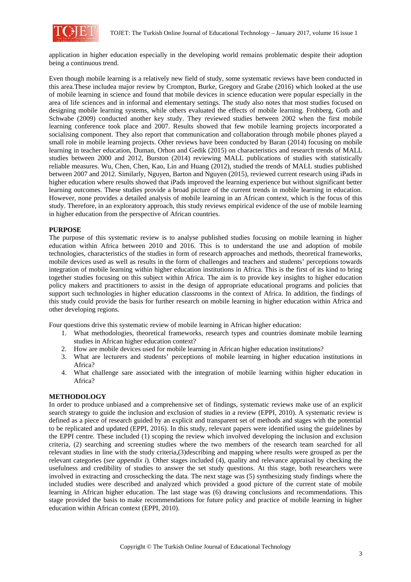

application in higher education especially in the developing world remains problematic despite their adoption being a continuous trend.

Even though mobile learning is a relatively new field of study, some systematic reviews have been conducted in this area.These includea major review by Crompton, Burke, Gregory and Grabe (2016) which looked at the use of mobile learning in science and found that mobile devices in science education were popular especially in the area of life sciences and in informal and elementary settings. The study also notes that most studies focused on designing mobile learning systems, while others evaluated the effects of mobile learning. Frohberg, Goth and Schwabe (2009) conducted another key study. They reviewed studies between 2002 when the first mobile learning conference took place and 2007. Results showed that few mobile learning projects incorporated a socialising component. They also report that communication and collaboration through mobile phones played a small role in mobile learning projects. Other reviews have been conducted by Baran (2014) focusing on mobile learning in teacher education, Duman, Orhon and Gedik (2015) on characteristics and research trends of MALL studies between 2000 and 2012, Burston (2014) reviewing MALL publications of studies with statistically reliable measures. Wu, Chen, Chen, Kao, Lin and Huang (2012), studied the trends of MALL studies published between 2007 and 2012. Similarly, Nguyen, Barton and Nguyen (2015), reviewed current research using iPads in higher education where results showed that iPads improved the learning experience but without significant better learning outcomes. These studies provide a broad picture of the current trends in mobile learning in education. However, none provides a detailed analysis of mobile learning in an African context, which is the focus of this study. Therefore, in an exploratory approach, this study reviews empirical evidence of the use of mobile learning in higher education from the perspective of African countries.

### **PURPOSE**

The purpose of this systematic review is to analyse published studies focusing on mobile learning in higher education within Africa between 2010 and 2016. This is to understand the use and adoption of mobile technologies, characteristics of the studies in form of research approaches and methods, theoretical frameworks, mobile devices used as well as results in the form of challenges and teachers and students' perceptions towards integration of mobile learning within higher education institutions in Africa. This is the first of its kind to bring together studies focusing on this subject within Africa. The aim is to provide key insights to higher education policy makers and practitioners to assist in the design of appropriate educational programs and policies that support such technologies in higher education classrooms in the context of Africa. In addition, the findings of this study could provide the basis for further research on mobile learning in higher education within Africa and other developing regions.

Four questions drive this systematic review of mobile learning in African higher education:

- 1. What methodologies, theoretical frameworks, research types and countries dominate mobile learning studies in African higher education context?
- 2. How are mobile devices used for mobile learning in African higher education institutions?
- 3. What are lecturers and students' perceptions of mobile learning in higher education institutions in Africa?
- 4. What challenge sare associated with the integration of mobile learning within higher education in Africa?

### **METHODOLOGY**

In order to produce unbiased and a comprehensive set of findings, systematic reviews make use of an explicit search strategy to guide the inclusion and exclusion of studies in a review (EPPI, 2010). A systematic review is defined as a piece of research guided by an explicit and transparent set of methods and stages with the potential to be replicated and updated (EPPI, 2016). In this study, relevant papers were identified using the guidelines by the EPPI centre. These included (1) scoping the review which involved developing the inclusion and exclusion criteria, (2) searching and screening studies where the two members of the research team searched for all relevant studies in line with the study criteria,(3)describing and mapping where results were grouped as per the relevant categories (*see appendix i*). Other stages included (4), quality and relevance appraisal by checking the usefulness and credibility of studies to answer the set study questions. At this stage, both researchers were involved in extracting and crosschecking the data. The next stage was (5) synthesizing study findings where the included studies were described and analyzed which provided a good picture of the current state of mobile learning in African higher education. The last stage was (6) drawing conclusions and recommendations. This stage provided the basis to make recommendations for future policy and practice of mobile learning in higher education within African context (EPPI, 2010).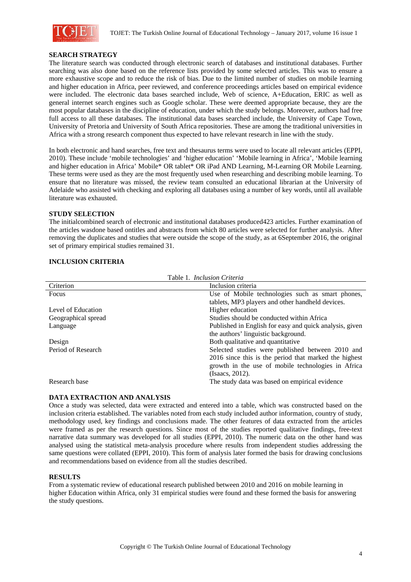

#### **SEARCH STRATEGY**

The literature search was conducted through electronic search of databases and institutional databases. Further searching was also done based on the reference lists provided by some selected articles. This was to ensure a more exhaustive scope and to reduce the risk of bias. Due to the limited number of studies on mobile learning and higher education in Africa, peer reviewed, and conference proceedings articles based on empirical evidence were included. The electronic data bases searched include, Web of science, A+Education, ERIC as well as general internet search engines such as Google scholar. These were deemed appropriate because, they are the most popular databases in the discipline of education, under which the study belongs. Moreover, authors had free full access to all these databases. The institutional data bases searched include, the University of Cape Town, University of Pretoria and University of South Africa repositories. These are among the traditional universities in Africa with a strong research component thus expected to have relevant research in line with the study.

In both electronic and hand searches, free text and thesaurus terms were used to locate all relevant articles (EPPI, 2010). These include 'mobile technologies' and 'higher education' 'Mobile learning in Africa', 'Mobile learning and higher education in Africa' Mobile\* OR tablet\* OR iPad AND Learning, M-Learning OR Mobile Learning. These terms were used as they are the most frequently used when researching and describing mobile learning. To ensure that no literature was missed, the review team consulted an educational librarian at the University of Adelaide who assisted with checking and exploring all databases using a number of key words, until all available literature was exhausted.

#### **STUDY SELECTION**

 The initialcombined search of electronic and institutional databases produced423 articles. Further examination of the articles wasdone based ontitles and abstracts from which 80 articles were selected for further analysis. After removing the duplicates and studies that were outside the scope of the study, as at 6September 2016, the original set of primary empirical studies remained 31.

### **INCLUSION CRITERIA**

| Table 1. <i>Inclusion Criteria</i> |                                                         |  |  |  |
|------------------------------------|---------------------------------------------------------|--|--|--|
| Criterion                          | Inclusion criteria                                      |  |  |  |
| Focus                              | Use of Mobile technologies such as smart phones,        |  |  |  |
|                                    | tablets, MP3 players and other handheld devices.        |  |  |  |
| Level of Education                 | Higher education                                        |  |  |  |
| Geographical spread                | Studies should be conducted within Africa               |  |  |  |
| Language                           | Published in English for easy and quick analysis, given |  |  |  |
|                                    | the authors' linguistic background.                     |  |  |  |
| Design                             | Both qualitative and quantitative                       |  |  |  |
| Period of Research                 | Selected studies were published between 2010 and        |  |  |  |
|                                    | 2016 since this is the period that marked the highest   |  |  |  |
|                                    | growth in the use of mobile technologies in Africa      |  |  |  |
|                                    | (Isaacs, 2012).                                         |  |  |  |
| Research base                      | The study data was based on empirical evidence          |  |  |  |

### **DATA EXTRACTION AND ANALYSIS**

Once a study was selected, data were extracted and entered into a table, which was constructed based on the inclusion criteria established. The variables noted from each study included author information, country of study, methodology used, key findings and conclusions made. The other features of data extracted from the articles were framed as per the research questions. Since most of the studies reported qualitative findings, free-text narrative data summary was developed for all studies (EPPI, 2010). The numeric data on the other hand was analysed using the statistical meta-analysis procedure where results from independent studies addressing the same questions were collated (EPPI, 2010). This form of analysis later formed the basis for drawing conclusions and recommendations based on evidence from all the studies described.

#### **RESULTS**

From a systematic review of educational research published between 2010 and 2016 on mobile learning in higher Education within Africa, only 31 empirical studies were found and these formed the basis for answering the study questions.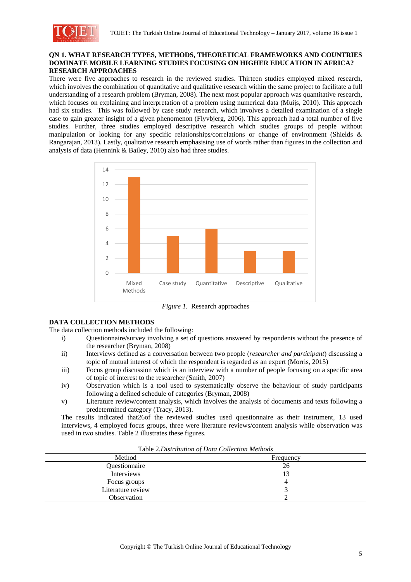

### **QN 1. WHAT RESEARCH TYPES, METHODS, THEORETICAL FRAMEWORKS AND COUNTRIES DOMINATE MOBILE LEARNING STUDIES FOCUSING ON HIGHER EDUCATION IN AFRICA? RESEARCH APPROACHES**

There were five approaches to research in the reviewed studies. Thirteen studies employed mixed research, which involves the combination of quantitative and qualitative research within the same project to facilitate a full understanding of a research problem (Bryman, 2008). The next most popular approach was quantitative research, which focuses on explaining and interpretation of a problem using numerical data (Muijs, 2010). This approach had six studies. This was followed by case study research, which involves a detailed examination of a single case to gain greater insight of a given phenomenon (Flyvbjerg, 2006). This approach had a total number of five studies. Further, three studies employed descriptive research which studies groups of people without manipulation or looking for any specific relationships/correlations or change of environment (Shields & Rangarajan, 2013). Lastly, qualitative research emphasising use of words rather than figures in the collection and analysis of data (Hennink & Bailey, 2010) also had three studies.



*Figure 1.* Research approaches

### **DATA COLLECTION METHODS**

The data collection methods included the following:

- i) Questionnaire/survey involving a set of questions answered by respondents without the presence of the researcher (Bryman, 2008)
- ii) Interviews defined as a conversation between two people (*researcher and participant*) discussing a topic of mutual interest of which the respondent is regarded as an expert (Morris, 2015)
- iii) Focus group discussion which is an interview with a number of people focusing on a specific area of topic of interest to the researcher (Smith, 2007)
- iv) Observation which is a tool used to systematically observe the behaviour of study participants following a defined schedule of categories (Bryman, 2008)
- v) Literature review/content analysis, which involves the analysis of documents and texts following a predetermined category (Tracy, 2013).

The results indicated that26of the reviewed studies used questionnaire as their instrument, 13 used interviews, 4 employed focus groups, three were literature reviews/content analysis while observation was used in two studies. Table 2 illustrates these figures.

| Tuble 2.1 hours to throne of Dunne Concentration intermotion |           |  |  |  |
|--------------------------------------------------------------|-----------|--|--|--|
| Method                                                       | Frequency |  |  |  |
| Questionnaire                                                | 26        |  |  |  |
| Interviews                                                   |           |  |  |  |
| Focus groups                                                 |           |  |  |  |
| Literature review                                            |           |  |  |  |
| Observation                                                  |           |  |  |  |
|                                                              |           |  |  |  |

Table 2*.Distribution of Data Collection Methods*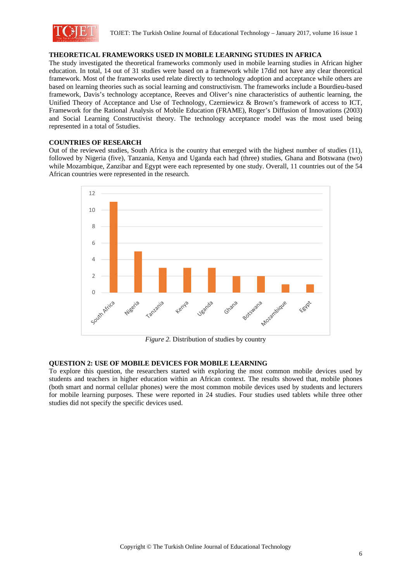

### **THEORETICAL FRAMEWORKS USED IN MOBILE LEARNING STUDIES IN AFRICA**

The study investigated the theoretical frameworks commonly used in mobile learning studies in African higher education. In total, 14 out of 31 studies were based on a framework while 17did not have any clear theoretical framework. Most of the frameworks used relate directly to technology adoption and acceptance while others are based on learning theories such as social learning and constructivism. The frameworks include a Bourdieu-based framework, Davis's technology acceptance, Reeves and Oliver's nine characteristics of authentic learning, the Unified Theory of Acceptance and Use of Technology, Czerniewicz & Brown's framework of access to ICT, Framework for the Rational Analysis of Mobile Education (FRAME), Roger's Diffusion of Innovations (2003) and Social Learning Constructivist theory. The technology acceptance model was the most used being represented in a total of 5studies.

### **COUNTRIES OF RESEARCH**

Out of the reviewed studies, South Africa is the country that emerged with the highest number of studies (11), followed by Nigeria (five), Tanzania, Kenya and Uganda each had (three) studies, Ghana and Botswana (two) while Mozambique, Zanzibar and Egypt were each represented by one study. Overall, 11 countries out of the 54 African countries were represented in the research.



*Figure 2.* Distribution of studies by country

### **QUESTION 2: USE OF MOBILE DEVICES FOR MOBILE LEARNING**

To explore this question, the researchers started with exploring the most common mobile devices used by students and teachers in higher education within an African context. The results showed that, mobile phones (both smart and normal cellular phones) were the most common mobile devices used by students and lecturers for mobile learning purposes. These were reported in 24 studies. Four studies used tablets while three other studies did not specify the specific devices used.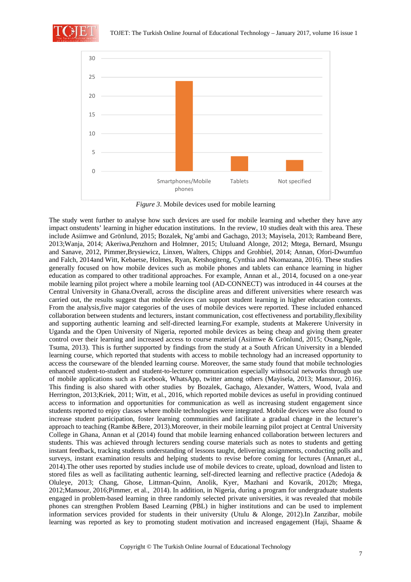



*Figure 3*. Mobile devices used for mobile learning

The study went further to analyse how such devices are used for mobile learning and whether they have any impact onstudents' learning in higher education institutions. In the review, 10 studies dealt with this area. These include Asiimwe and Grönlund, 2015; Bozalek, Ng'ambi and Gachago, 2013; Mayisela, 2013; Rambeand Bere, 2013;Wanja, 2014; Akeriwa,Penzhorn and Holmner, 2015; Utuluand Alonge, 2012; Mtega, Bernard, Msungu and Sanave, 2012, Pimmer,Brysiewicz, Linxen, Walters, Chipps and Grohbiel, 2014; Annan, Ofori-Dwumfuo and Falch, 2014and Witt, Kebaetse, Holmes, Ryan, Ketshogiteng, Cynthia and Nkomazana, 2016). These studies generally focused on how mobile devices such as mobile phones and tablets can enhance learning in higher education as compared to other traditional approaches. For example, Annan et al., 2014, focused on a one-year mobile learning pilot project where a mobile learning tool (AD-CONNECT) was introduced in 44 courses at the Central University in Ghana.Overall, across the discipline areas and different universities where research was carried out, the results suggest that mobile devices can support student learning in higher education contexts. From the analysis,five major categories of the uses of mobile devices were reported. These included enhanced collaboration between students and lecturers, instant communication, cost effectiveness and portability,flexibility and supporting authentic learning and self-directed learning.For example, students at Makerere University in Uganda and the Open University of Nigeria, reported mobile devices as being cheap and giving them greater control over their learning and increased access to course material (Asiimwe & Grönlund, 2015; Osang,Ngole, Tsuma, 2013). This is further supported by findings from the study at a South African University in a blended learning course, which reported that students with access to mobile technology had an increased opportunity to access the courseware of the blended learning course. Moreover, the same study found that mobile technologies enhanced student-to-student and student-to-lecturer communication especially withsocial networks through use of mobile applications such as Facebook, WhatsApp, twitter among others (Mayisela, 2013; Mansour, 2016). This finding is also shared with other studies by Bozalek, Gachago, Alexander, Watters, Wood, Ivala and Herrington, 2013;Kriek, 2011; Witt, et al., 2016, which reported mobile devices as useful in providing continued access to information and opportunities for communication as well as increasing student engagement since students reported to enjoy classes where mobile technologies were integrated. Mobile devices were also found to increase student participation, foster learning communities and facilitate a gradual change in the lecturer's approach to teaching (Rambe &Bere, 2013).Moreover, in their mobile learning pilot project at Central University College in Ghana, Annan et al (2014) found that mobile learning enhanced collaboration between lecturers and students. This was achieved through lecturers sending course materials such as notes to students and getting instant feedback, tracking students understanding of lessons taught, delivering assignments, conducting polls and surveys, instant examination results and helping students to revise before coming for lectures (Annan,et al., 2014).The other uses reported by studies include use of mobile devices to create, upload, download and listen to stored files as well as facilitating authentic learning, self-directed learning and reflective practice (Adedoja & Oluleye, 2013; Chang, Ghose, Littman-Quinn, Anolik, Kyer, Mazhani and Kovarik, 2012b; Mtega, 2012;Mansour, 2016;Pimmer, et al., 2014). In addition, in Nigeria, during a program for undergraduate students engaged in problem-based learning in three randomly selected private universities, it was revealed that mobile phones can strengthen Problem Based Learning (PBL) in higher institutions and can be used to implement information services provided for students in their university (Utulu & Alonge, 2012).In Zanzibar, mobile learning was reported as key to promoting student motivation and increased engagement (Haji, Shaame &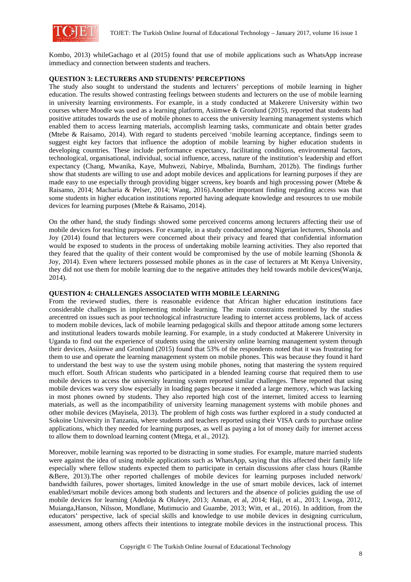

Kombo, 2013) whileGachago et al (2015) found that use of mobile applications such as WhatsApp increase immediacy and connection between students and teachers.

### **QUESTION 3: LECTURERS AND STUDENTS' PERCEPTIONS**

The study also sought to understand the students and lecturers' perceptions of mobile learning in higher education. The results showed contrasting feelings between students and lecturers on the use of mobile learning in university learning environments. For example, in a study conducted at Makerere University within two courses where Moodle was used as a learning platform, Asiimwe & Gronlund (2015), reported that students had positive attitudes towards the use of mobile phones to access the university learning management systems which enabled them to access learning materials, accomplish learning tasks, communicate and obtain better grades (Mtebe & Raisamo, 2014). With regard to students perceived 'mobile learning acceptance, findings seem to suggest eight key factors that influence the adoption of mobile learning by higher education students in developing countries. These include performance expectancy, facilitating conditions, environmental factors, technological, organisational, individual, social influence, access, nature of the institution's leadership and effort expectancy (Chang, Mwanika, Kaye, Muhwezi, Nabirye, Mbalinda, Burnham, 2012b). The findings further show that students are willing to use and adopt mobile devices and applications for learning purposes if they are made easy to use especially through providing bigger screens, key boards and high processing power (Mtebe  $\&$ Raisamo, 2014; Macharia & Pelser, 2014; Wang, 2016).Another important finding regarding access was that some students in higher education institutions reported having adequate knowledge and resources to use mobile devices for learning purposes (Mtebe & Raisamo, 2014).

On the other hand, the study findings showed some perceived concerns among lecturers affecting their use of mobile devices for teaching purposes. For example, in a study conducted among Nigerian lecturers, Shonola and Joy (2014) found that lecturers were concerned about their privacy and feared that confidential information would be exposed to students in the process of undertaking mobile learning activities. They also reported that they feared that the quality of their content would be compromised by the use of mobile learning (Shonola & Joy, 2014). Even where lecturers possessed mobile phones as in the case of lecturers at Mt Kenya University, they did not use them for mobile learning due to the negative attitudes they held towards mobile devices(Wanja, 2014).

### **QUESTION 4: CHALLENGES ASSOCIATED WITH MOBILE LEARNING**

From the reviewed studies, there is reasonable evidence that African higher education institutions face considerable challenges in implementing mobile learning. The main constraints mentioned by the studies arecentred on issues such as poor technological infrastructure leading to internet access problems, lack of access to modern mobile devices, lack of mobile learning pedagogical skills and thepoor attitude among some lecturers and institutional leaders towards mobile learning. For example, in a study conducted at Makerere University in Uganda to find out the experience of students using the university online learning management system through their devices, Asiimwe and Gronlund (2015) found that 53% of the respondents noted that it was frustrating for them to use and operate the learning management system on mobile phones. This was because they found it hard to understand the best way to use the system using mobile phones, noting that mastering the system required much effort. South African students who participated in a blended learning course that required them to use mobile devices to access the university learning system reported similar challenges. These reported that using mobile devices was very slow especially in loading pages because it needed a large memory, which was lacking in most phones owned by students. They also reported high cost of the internet, limited access to learning materials, as well as the incompatibility of university learning management systems with mobile phones and other mobile devices (Mayisela, 2013). The problem of high costs was further explored in a study conducted at Sokoine University in Tanzania, where students and teachers reported using their VISA cards to purchase online applications, which they needed for learning purposes, as well as paying a lot of money daily for internet access to allow them to download learning content (Mtega, et al., 2012).

Moreover, mobile learning was reported to be distracting in some studies. For example, mature married students were against the idea of using mobile applications such as WhatsApp, saying that this affected their family life especially where fellow students expected them to participate in certain discussions after class hours (Rambe &Bere, 2013).The other reported challenges of mobile devices for learning purposes included network/ bandwidth failures, power shortages, limited knowledge in the use of smart mobile devices, lack of internet enabled/smart mobile devices among both students and lecturers and the absence of policies guiding the use of mobile devices for learning (Adedoja & Oluleye, 2013; Annan, et al, 2014; Haji, et al., 2013; Lwoga, 2012, Muianga,Hanson, Nilsson, Mondlane, Mutimucio and Guambe, 2013; Witt, et al., 2016). In addition, from the educators' perspective, lack of special skills and knowledge to use mobile devices in designing curriculum, assessment, among others affects their intentions to integrate mobile devices in the instructional process. This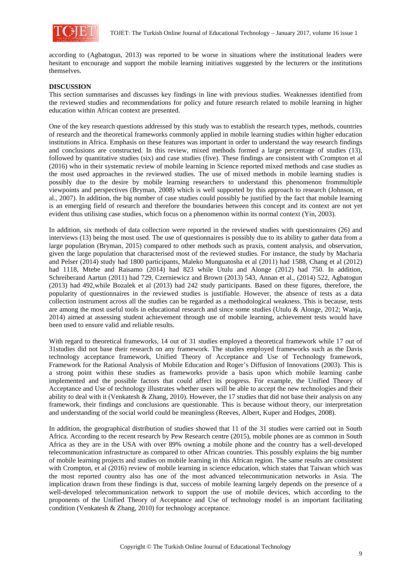

according to (Agbatogun, 2013) was reported to be worse in situations where the institutional leaders were hesitant to encourage and support the mobile learning initiatives suggested by the lecturers or the institutions themselves.

### **DISCUSSION**

This section summarises and discusses key findings in line with previous studies. Weaknesses identified from the reviewed studies and recommendations for policy and future research related to mobile learning in higher education within African context are presented.

One of the key research questions addressed by this study was to establish the research types, methods, countries of research and the theoretical frameworks commonly applied in mobile learning studies within higher education institutions in Africa. Emphasis on these features was important in order to understand the way research findings and conclusions are constructed. In this review, mixed methods formed a large percentage of studies (13), followed by quantitative studies (six) and case studies (five). These findings are consistent with Crompton et al (2016) who in their systematic review of mobile learning in Science reported mixed methods and case studies as the most used approaches in the reviewed studies. The use of mixed methods in mobile learning studies is possibly due to the desire by mobile learning researchers to understand this phenomenon frommultiple viewpoints and perspectives (Bryman, 2008) which is well supported by this approach to research (Johnson, et al., 2007). In addition, the big number of case studies could possibly be justified by the fact that mobile learning is an emerging field of research and therefore the boundaries between this concept and its context are not yet evident thus utilising case studies, which focus on a phenomenon within its normal context (Yin, 2003).

In addition, six methods of data collection were reported in the reviewed studies with questionnaires (26) and interviews (13) being the most used. The use of questionnaires is possibly due to its ability to gather data from a large population (Bryman, 2015) compared to other methods such as praxis, content analysis, and observation, given the large population that characterised most of the reviewed studies. For instance, the study by Macharia and Pelser (2014) study had 1800 participants, Maleko Munguatosha et al (2011) had 1588, Chang et al (2012) had 1118, Mtebe and Raisamo (2014) had 823 while Utulu and Alonge (2012) had 750. In addition, Schreiberand Aartun (2011) had 729, Czerniewicz and Brown (2013) 543, Annan et al., (2014) 522, Agbatogun (2013) had 492,while Bozalek et al (2013) had 242 study participants. Based on these figures, therefore, the popularity of questionnaires in the reviewed studies is justifiable. However, the absence of tests as a data collection instrument across all the studies can be regarded as a methodological weakness. This is because, tests are among the most useful tools in educational research and since some studies (Utulu & Alonge, 2012; Wanja, 2014) aimed at assessing student achievement through use of mobile learning, achievement tests would have been used to ensure valid and reliable results.

With regard to theoretical frameworks, 14 out of 31 studies employed a theoretical framework while 17 out of 31studies did not base their research on any framework. The studies employed frameworks such as the Davis technology acceptance framework, Unified Theory of Acceptance and Use of Technology framework, Framework for the Rational Analysis of Mobile Education and Roger's Diffusion of Innovations (2003). This is a strong point within these studies as frameworks provide a basis upon which mobile learning canbe implemented and the possible factors that could affect its progress. For example, the Unified Theory of Acceptance and Use of technology illustrates whether users will be able to accept the new technologies and their ability to deal with it (Venkatesh & Zhang, 2010). However, the 17 studies that did not base their analysis on any framework, their findings and conclusions are questionable. This is because without theory, our interpretation and understanding of the social world could be meaningless (Reeves, Albert, Kuper and Hodges, 2008).

In addition, the geographical distribution of studies showed that 11 of the 31 studies were carried out in South Africa. According to the recent research by Pew Research centre (2015), mobile phones are as common in South Africa as they are in the USA with over 89% owning a mobile phone and the country has a well-developed telecommunication infrastructure as compared to other African countries. This possibly explains the big number of mobile learning projects and studies on mobile learning in this African region. The same results are consistent with Crompton, et al (2016) review of mobile learning in science education, which states that Taiwan which was the most reported country also has one of the most advanced telecommunication networks in Asia. The implication drawn from these findings is that, success of mobile learning largely depends on the presence of a well-developed telecommunication network to support the use of mobile devices, which according to the proponents of the Unified Theory of Acceptance and Use of technology model is an important facilitating condition (Venkatesh & Zhang, 2010) for technology acceptance.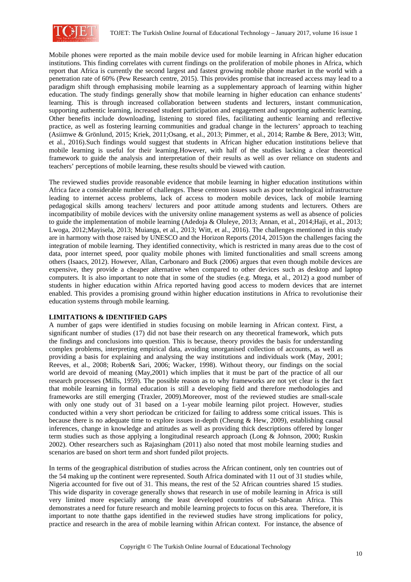

Mobile phones were reported as the main mobile device used for mobile learning in African higher education institutions. This finding correlates with current findings on the proliferation of mobile phones in Africa, which report that Africa is currently the second largest and fastest growing mobile phone market in the world with a penetration rate of 60% (Pew Research centre, 2015). This provides promise that increased access may lead to a paradigm shift through emphasising mobile learning as a supplementary approach of learning within higher education. The study findings generally show that mobile learning in higher education can enhance students' learning. This is through increased collaboration between students and lecturers, instant communication, supporting authentic learning, increased student participation and engagement and supporting authentic learning. Other benefits include downloading, listening to stored files, facilitating authentic learning and reflective practice, as well as fostering learning communities and gradual change in the lecturers' approach to teaching (Asiimwe & Grönlund, 2015; Kriek, 2011;Osang, et al., 2013; Pimmer, et al., 2014; Rambe & Bere, 2013; Witt, et al., 2016).Such findings would suggest that students in African higher education institutions believe that mobile learning is useful for their learning.However, with half of the studies lacking a clear theoretical framework to guide the analysis and interpretation of their results as well as over reliance on students and teachers' perceptions of mobile learning, these results should be viewed with caution.

The reviewed studies provide reasonable evidence that mobile learning in higher education institutions within Africa face a considerable number of challenges. These centreon issues such as poor technological infrastructure leading to internet access problems, lack of access to modern mobile devices, lack of mobile learning pedagogical skills among teachers/ lecturers and poor attitude among students and lecturers. Others are incompatibility of mobile devices with the university online management systems as well as absence of policies to guide the implementation of mobile learning (Adedoja & Oluleye, 2013; Annan, et al., 2014;Haji, et al., 2013; Lwoga, 2012;Mayisela, 2013; Muianga, et al., 2013; Witt, et al., 2016). The challenges mentioned in this study are in harmony with those raised by UNESCO and the Horizon Reports (2014, 2015)on the challenges facing the integration of mobile learning. They identified connectivity, which is restricted in many areas due to the cost of data, poor internet speed, poor quality mobile phones with limited functionalities and small screens among others (Isaacs, 2012). However, Allan, Carbonaro and Buck (2006) argues that even though mobile devices are expensive, they provide a cheaper alternative when compared to other devices such as desktop and laptop computers. It is also important to note that in some of the studies (e.g. Mtega, et al., 2012) a good number of students in higher education within Africa reported having good access to modern devices that are internet enabled. This provides a promising ground within higher education institutions in Africa to revolutionise their education systems through mobile learning.

### **LIMITATIONS & IDENTIFIED GAPS**

A number of gaps were identified in studies focusing on mobile learning in African context. First, a significant number of studies (17) did not base their research on any theoretical framework, which puts the findings and conclusions into question. This is because, theory provides the basis for understanding complex problems, interpreting empirical data, avoiding unorganised collection of accounts, as well as providing a basis for explaining and analysing the way institutions and individuals work (May, 2001; Reeves, et al., 2008; Robert& Sari, 2006; Wacker, 1998). Without theory, our findings on the social world are devoid of meaning (May,2001) which implies that it must be part of the practice of all our research processes (Mills, 1959). The possible reason as to why frameworks are not yet clear is the fact that mobile learning in formal education is still a developing field and therefore methodologies and frameworks are still emerging (Traxler, 2009).Moreover, most of the reviewed studies are small-scale with only one study out of 31 based on a 1-year mobile learning pilot project. However, studies conducted within a very short periodcan be criticized for failing to address some critical issues. This is because there is no adequate time to explore issues in-depth (Cheung & Hew, 2009), establishing causal inferences, change in knowledge and attitudes as well as providing thick descriptions offered by longer term studies such as those applying a longitudinal research approach (Long & Johnson, 2000; Ruskin 2002). Other researchers such as Rajasingham (2011) also noted that most mobile learning studies and scenarios are based on short term and short funded pilot projects.

In terms of the geographical distribution of studies across the African continent, only ten countries out of the 54 making up the continent were represented. South Africa dominated with 11 out of 31 studies while, Nigeria accounted for five out of 31. This means, the rest of the 52 African countries shared 15 studies. This wide disparity in coverage generally shows that research in use of mobile learning in Africa is still very limited more especially among the least developed countries of sub-Saharan Africa. This demonstrates a need for future research and mobile learning projects to focus on this area. Therefore, it is important to note thatthe gaps identified in the reviewed studies have strong implications for policy, practice and research in the area of mobile learning within African context. For instance, the absence of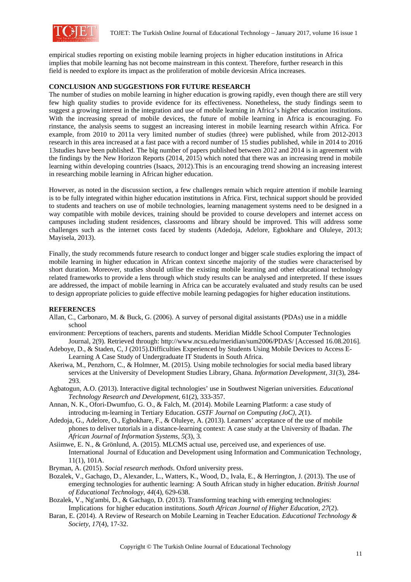

empirical studies reporting on existing mobile learning projects in higher education institutions in Africa implies that mobile learning has not become mainstream in this context. Therefore, further research in this field is needed to explore its impact as the proliferation of mobile devicesin Africa increases.

### **CONCLUSION AND SUGGESTIONS FOR FUTURE RESEARCH**

The number of studies on mobile learning in higher education is growing rapidly, even though there are still very few high quality studies to provide evidence for its effectiveness. Nonetheless, the study findings seem to suggest a growing interest in the integration and use of mobile learning in Africa's higher education institutions. With the increasing spread of mobile devices, the future of mobile learning in Africa is encouraging. Fo rinstance, the analysis seems to suggest an increasing interest in mobile learning research within Africa. For example, from 2010 to 2011a very limited number of studies (three) were published, while from 2012-2013 research in this area increased at a fast pace with a record number of 15 studies published, while in 2014 to 2016 13studies have been published. The big number of papers published between 2012 and 2014 is in agreement with the findings by the New Horizon Reports (2014, 2015) which noted that there was an increasing trend in mobile learning within developing countries (Isaacs, 2012).This is an encouraging trend showing an increasing interest in researching mobile learning in African higher education.

However, as noted in the discussion section, a few challenges remain which require attention if mobile learning is to be fully integrated within higher education institutions in Africa. First, technical support should be provided to students and teachers on use of mobile technologies, learning management systems need to be designed in a way compatible with mobile devices, training should be provided to course developers and internet access on campuses including student residences, classrooms and library should be improved. This will address some challenges such as the internet costs faced by students (Adedoja, Adelore, Egbokhare and Oluleye, 2013; Mayisela, 2013).

Finally, the study recommends future research to conduct longer and bigger scale studies exploring the impact of mobile learning in higher education in African context sincethe majority of the studies were characterised by short duration. Moreover, studies should utilise the existing mobile learning and other educational technology related frameworks to provide a lens through which study results can be analysed and interpreted. If these issues are addressed, the impact of mobile learning in Africa can be accurately evaluated and study results can be used to design appropriate policies to guide effective mobile learning pedagogies for higher education institutions.

### **REFERENCES**

- Allan, C., Carbonaro, M. & Buck, G. (2006). A survey of personal digital assistants (PDAs) use in a middle school
- environment: Perceptions of teachers, parents and students. Meridian Middle School Computer Technologies Journal, 2(9). Retrieved through: http://www.ncsu.edu/meridian/sum2006/PDAS/ [Accessed 16.08.2016].
- Adeboye, D., & Staden, C, J (2015).Difficulties Experienced by Students Using Mobile Devices to Access E- Learning A Case Study of Undergraduate IT Students in South Africa.
- Akeriwa, M., Penzhorn, C., & Holmner, M. (2015). Using mobile technologies for social media based library services at the University of Development Studies Library, Ghana. *Information Development, 31*(3), 284- 293.
- Agbatogun, A.O. (2013). Interactive digital technologies' use in Southwest Nigerian universities. *Educational Technology Research and Development*, 61(2), 333-357.
- Annan, N. K., Ofori-Dwumfuo, G. O., & Falch, M. (2014). Mobile Learning Platform: a case study of introducing m-learning in Tertiary Education. *GSTF Journal on Computing (JoC), 2*(1).
- Adedoja, G., Adelore, O., Egbokhare, F., & Oluleye, A. (2013). Learners' acceptance of the use of mobile phones to deliver tutorials in a distance-learning context: A case study at the University of Ibadan. *The African Journal of Information Systems, 5*(3), 3.
- Asiimwe, E. N., & Grönlund, A. (2015). MLCMS actual use, perceived use, and experiences of use. International Journal of Education and Development using Information and Communication Technology, 11(1), 101A.
- Bryman, A. (2015). *Social research methods*. Oxford university press.
- Bozalek, V., Gachago, D., Alexander, L., Watters, K., Wood, D., Ivala, E., & Herrington, J. (2013). The use of emerging technologies for authentic learning: A South African study in higher education. *British Journal of Educational Technology, 44*(4), 629-638.
- Bozalek, V., Ng'ambi, D., & Gachago, D. (2013). Transforming teaching with emerging technologies: Implications for higher education institutions. *South African Journal of Higher Education*, *27*(2).
- Baran, E. (2014). A Review of Research on Mobile Learning in Teacher Education. *Educational Technology & Society*, *17*(4), 17-32.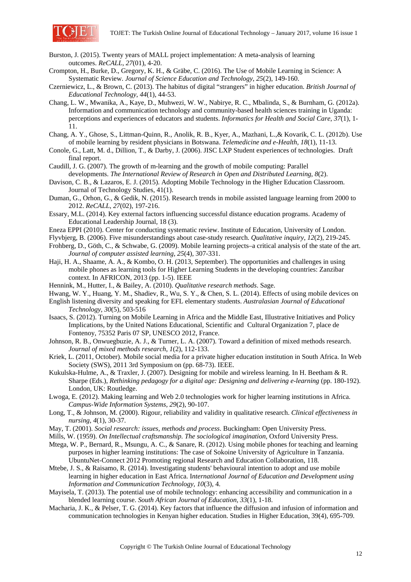

- Burston, J. (2015). Twenty years of MALL project implementation: A meta-analysis of learning outcomes. *ReCALL*, *27*(01), 4-20.
- Crompton, H., Burke, D., Gregory, K. H., & Gräbe, C. (2016). The Use of Mobile Learning in Science: A Systematic Review. *Journal of Science Education and Technology*, *25*(2), 149-160.
- Czerniewicz, L., & Brown, C. (2013). The habitus of digital "strangers" in higher education. *British Journal of Educational Technology*, *44*(1), 44-53.
- Chang, L. W., Mwanika, A., Kaye, D., Muhwezi, W. W., Nabirye, R. C., Mbalinda, S., & Burnham, G. (2012a). Information and communication technology and community-based health sciences training in Uganda: perceptions and experiences of educators and students. *Informatics for Health and Social Care*, *37*(1), 1- 11.
- Chang, A. Y., Ghose, S., Littman-Quinn, R., Anolik, R. B., Kyer, A., Mazhani, L.,& Kovarik, C. L. (2012b). Use of mobile learning by resident physicians in Botswana. *Telemedicine and e-Health*, *18*(1), 11-13.
- Conole, G., Latt, M. d., Dillion, T., & Darby, J. (2006). JISC LXP Student experiences of technologies. Draft final report.
- Caudill, J. G. (2007). The growth of m-learning and the growth of mobile computing: Parallel developments. *The International Review of Research in Open and Distributed Learning*, *8*(2).
- Davison, C. B., & Lazaros, E. J. (2015). Adopting Mobile Technology in the Higher Education Classroom. Journal of Technology Studies, 41(1).
- Duman, G., Orhon, G., & Gedik, N. (2015). Research trends in mobile assisted language learning from 2000 to 2012. *ReCALL*, *27*(02), 197-216.
- Essary, M.L. (2014). Key external factors influencing successful distance education programs. Academy of Educational Leadership Journal, 18 (3).
- Eneza EPPI (2010). Center for conducting systematic review. Institute of Education, University of London.
- Flyvbjerg, B. (2006). Five misunderstandings about case-study research. *Qualitative inquiry*, *12*(2), 219-245.
- Frohberg, D., Göth, C., & Schwabe, G. (2009). Mobile learning projects–a critical analysis of the state of the art. *Journal of computer assisted learning*, *25*(4), 307-331.
- Haji, H. A., Shaame, A. A., & Kombo, O. H. (2013, September). The opportunities and challenges in using mobile phones as learning tools for Higher Learning Students in the developing countries: Zanzibar context. In AFRICON, 2013 (pp. 1-5). IEEE
- Hennink, M., Hutter, I., & Bailey, A. (2010). *Qualitative research methods*. Sage.
- Hwang, W. Y., Huang, Y. M., Shadiev, R., Wu, S. Y., & Chen, S. L. (2014). Effects of using mobile devices on
- English listening diversity and speaking for EFL elementary students. *Australasian Journal of Educational Technology, 30*(5), 503-516
- Isaacs, S. (2012). Turning on Mobile Learning in Africa and the Middle East, Illustrative Initiatives and Policy Implications, by the United Nations Educational, Scientific and Cultural Organization 7, place de Fontenoy, 75352 Paris 07 SP, UNESCO 2012, France.
- Johnson, R. B., Onwuegbuzie, A. J., & Turner, L. A. (2007). Toward a definition of mixed methods research. *Journal of mixed methods research*, *1*(2), 112-133.
- Kriek, L. (2011, October). Mobile social media for a private higher education institution in South Africa. In Web Society (SWS), 2011 3rd Symposium on (pp. 68-73). IEEE.
- Kukulska-Hulme, A., & Traxler, J. (2007). Designing for mobile and wireless learning. In H. Beetham & R. Sharpe (Eds.), *Rethinking pedagogy for a digital age: Designing and delivering e-learning* (pp. 180-192). London, UK: Routledge.
- Lwoga, E. (2012). Making learning and Web 2.0 technologies work for higher learning institutions in Africa. *Campus-Wide Information Systems, 29*(2), 90-107.
- Long, T., & Johnson, M. (2000). Rigour, reliability and validity in qualitative research. *Clinical effectiveness in nursing*, *4*(1), 30-37.
- May, T. (2001). *Social research: issues, methods and process*. Buckingham: Open University Press.
- Mills, W. (1959). *On Intellectual craftsmanship. The sociological imagination*, Oxford University Press.
- Mtega, W. P., Bernard, R., Msungu, A. C., & Sanare, R. (2012). Using mobile phones for teaching and learning purposes in higher learning institutions: The case of Sokoine University of Agriculture in Tanzania. UbuntuNet-Connect 2012 Promoting regional Research and Education Collaboration, 118.
- Mtebe, J. S., & Raisamo, R. (2014). Investigating students' behavioural intention to adopt and use mobile learning in higher education in East Africa. I*nternational Journal of Education and Development using Information and Communication Technology, 10*(3), 4.
- Mayisela, T. (2013). The potential use of mobile technology: enhancing accessibility and communication in a blended learning course. *South African Journal of Education, 33*(1), 1-18.
- Macharia, J. K., & Pelser, T. G. (2014). Key factors that influence the diffusion and infusion of information and communication technologies in Kenyan higher education. Studies in Higher Education, 39(4), 695-709.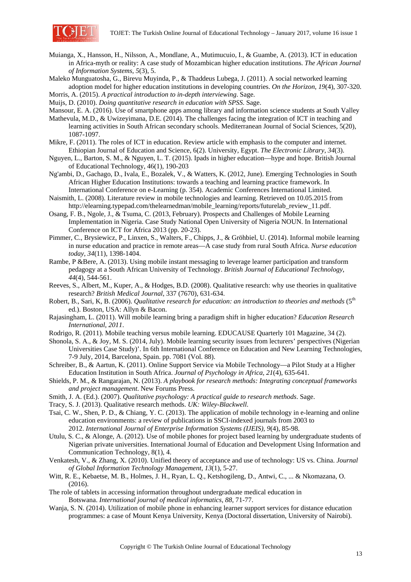

- Muianga, X., Hansson, H., Nilsson, A., Mondlane, A., Mutimucuio, I., & Guambe, A. (2013). ICT in education in Africa-myth or reality: A case study of Mozambican higher education institutions. *The African Journal of Information Systems, 5*(3), 5.
- Maleko Munguatosha, G., Birevu Muyinda, P., & Thaddeus Lubega, J. (2011). A social networked learning adoption model for higher education institutions in developing countries. *On the Horizon*, *19*(4), 307-320.

Morris, A. (2015). *A practical introduction to in-depth interviewing*. Sage.

Muijs, D. (2010). *Doing quantitative research in education with SPSS*. Sage.

Mansour, E. A. (2016). Use of smartphone apps among library and information science students at South Valley

- Mathevula, M.D., & Uwizeyimana, D.E. (2014). The challenges facing the integration of ICT in teaching and learning activities in South African secondary schools. Mediterranean Journal of Social Sciences, 5(20), 1087-1097.
- Mikre, F. (2011). The roles of ICT in education. Review article with emphasis to the computer and internet. Ethiopian Journal of Education and Science, 6(2). University, Egypt. *The Electronic Library*, *34*(3).
- Nguyen, L., Barton, S. M., & Nguyen, L. T. (2015). Ipads in higher education—hype and hope. British Journal of Educational Technology, 46(1), 190-203
- Ng'ambi, D., Gachago, D., Ivala, E., Bozalek, V., & Watters, K. (2012, June). Emerging Technologies in South African Higher Education Institutions: towards a teaching and learning practice framework. In International Conference on e-Learning (p. 354). Academic Conferences International Limited.
- Naismith, L. (2008). Literature review in mobile technologies and learning. Retrieved on 10.05.2015 from http://elearning.typepad.com/thelearnedman/mobile\_learning/reports/futurelab\_review\_11.pdf.
- Osang, F. B., Ngole, J., & Tsuma, C. (2013, February). Prospects and Challenges of Mobile Learning Implementation in Nigeria. Case Study National Open University of Nigeria NOUN. In International Conference on ICT for Africa 2013 (pp. 20-23).
- Pimmer, C., Brysiewicz, P., Linxen, S., Walters, F., Chipps, J., & Gröhbiel, U. (2014). Informal mobile learning in nurse education and practice in remote areas—A case study from rural South Africa. *Nurse education today*, *34*(11), 1398-1404.
- Rambe, P &Bere, A. (2013). Using mobile instant messaging to leverage learner participation and transform pedagogy at a South African University of Technology. *British Journal of Educational Technology*, *44*(4), 544-561.
- Reeves, S., Albert, M., Kuper, A., & Hodges, B.D. (2008). Qualitative research: why use theories in qualitative research? *British Medical Journal*, 337 (7670), 631-634.
- Robert, B., Sari, K, B. (2006). *Qualitative research for education: an introduction to theories and methods* (5<sup>th</sup> ed.). Boston, USA: Allyn & Bacon.
- Rajasingham, L. (2011). Will mobile learning bring a paradigm shift in higher education? *Education Research International*, *2011*.
- Rodrigo, R. (2011). Mobile teaching versus mobile learning. EDUCAUSE Quarterly 101 Magazine, 34 (2).
- Shonola, S. A., & Joy, M. S. (2014, July). Mobile learning security issues from lecturers' perspectives (Nigerian Universities Case Study)'. In 6th International Conference on Education and New Learning Technologies, 7-9 July, 2014, Barcelona, Spain. pp. 7081 (Vol. 88).
- Schreiber, B., & Aartun, K. (2011). Online Support Service via Mobile Technology—a Pilot Study at a Higher Education Institution in South Africa. *Journal of Psychology in Africa, 21*(4), 635-641.
- Shields, P. M., & Rangarajan, N. (2013). *A playbook for research methods: Integrating conceptual frameworks and project management*. New Forums Press.
- Smith, J. A. (Ed.). (2007). *Qualitative psychology: A practical guide to research methods*. Sage.
- Tracy, S. J. (2013). Qualitative research methods. *UK: Wiley-Blackwell*.
- Tsai, C. W., Shen, P. D., & Chiang, Y. C. (2013). The application of mobile technology in e-learning and online education environments: a review of publications in SSCI-indexed journals from 2003 to 2012. *International Journal of Enterprise Information Systems (IJEIS)*, *9*(4), 85-98.
- Utulu, S. C., & Alonge, A. (2012). Use of mobile phones for project based learning by undergraduate students of Nigerian private universities. International Journal of Education and Development Using Information and Communication Technology, 8(1), 4.
- Venkatesh, V., & Zhang, X. (2010). Unified theory of acceptance and use of technology: US vs. China. *Journal of Global Information Technology Management*, *13*(1), 5-27.
- Witt, R. E., Kebaetse, M. B., Holmes, J. H., Ryan, L. Q., Ketshogileng, D., Antwi, C., ... & Nkomazana, O. (2016).
- The role of tablets in accessing information throughout undergraduate medical education in Botswana. *International journal of medical informatics*, *88*, 71-77.
- Wanja, S. N. (2014). Utilization of mobile phone in enhancing learner support services for distance education programmes: a case of Mount Kenya University, Kenya (Doctoral dissertation, University of Nairobi).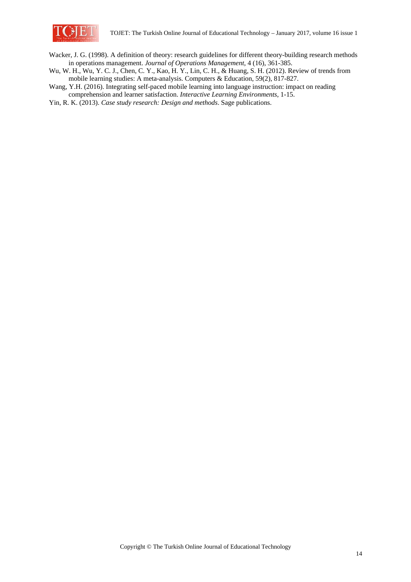

Wacker, J. G. (1998). A definition of theory: research guidelines for different theory-building research methods in operations management. *Journal of Operations Management*, 4 (16), 361-385.

- Wu, W. H., Wu, Y. C. J., Chen, C. Y., Kao, H. Y., Lin, C. H., & Huang, S. H. (2012). Review of trends from mobile learning studies: A meta-analysis. Computers & Education, 59(2), 817-827.
- Wang, Y.H. (2016). Integrating self-paced mobile learning into language instruction: impact on reading comprehension and learner satisfaction. *Interactive Learning Environments*, 1-15.
- Yin, R. K. (2013). *Case study research: Design and methods*. Sage publications.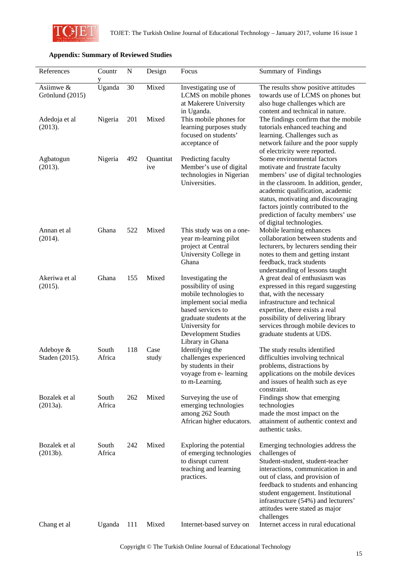

## **Appendix: Summary of Reviewed Studies**

| References                      | Countr<br>у     | N   | Design           | Focus                                                                                                                                                                                                              | Summary of Findings                                                                                                                                                                                                                                                                                                               |
|---------------------------------|-----------------|-----|------------------|--------------------------------------------------------------------------------------------------------------------------------------------------------------------------------------------------------------------|-----------------------------------------------------------------------------------------------------------------------------------------------------------------------------------------------------------------------------------------------------------------------------------------------------------------------------------|
| Asiimwe $\&$<br>Grönlund (2015) | Uganda          | 30  | Mixed            | Investigating use of<br>LCMS on mobile phones<br>at Makerere University<br>in Uganda.                                                                                                                              | The results show positive attitudes<br>towards use of LCMS on phones but<br>also huge challenges which are<br>content and technical in nature.                                                                                                                                                                                    |
| Adedoja et al<br>(2013).        | Nigeria         | 201 | Mixed            | This mobile phones for<br>learning purposes study<br>focused on students'<br>acceptance of                                                                                                                         | The findings confirm that the mobile<br>tutorials enhanced teaching and<br>learning. Challenges such as<br>network failure and the poor supply<br>of electricity were reported.                                                                                                                                                   |
| Agbatogun<br>(2013).            | Nigeria         | 492 | Quantitat<br>ive | Predicting faculty<br>Member's use of digital<br>technologies in Nigerian<br>Universities.                                                                                                                         | Some environmental factors<br>motivate and frustrate faculty<br>members' use of digital technologies<br>in the classroom. In addition, gender,<br>academic qualification, academic<br>status, motivating and discouraging<br>factors jointly contributed to the<br>prediction of faculty members' use<br>of digital technologies. |
| Annan et al<br>(2014).          | Ghana           | 522 | Mixed            | This study was on a one-<br>year m-learning pilot<br>project at Central<br>University College in<br>Ghana                                                                                                          | Mobile learning enhances<br>collaboration between students and<br>lecturers, by lecturers sending their<br>notes to them and getting instant<br>feedback, track students<br>understanding of lessons taught                                                                                                                       |
| Akeriwa et al<br>(2015).        | Ghana           | 155 | Mixed            | Investigating the<br>possibility of using<br>mobile technologies to<br>implement social media<br>based services to<br>graduate students at the<br>University for<br><b>Development Studies</b><br>Library in Ghana | A great deal of enthusiasm was<br>expressed in this regard suggesting<br>that, with the necessary<br>infrastructure and technical<br>expertise, there exists a real<br>possibility of delivering library<br>services through mobile devices to<br>graduate students at UDS.                                                       |
| Adeboye &<br>Staden (2015).     | South<br>Africa | 118 | Case<br>study    | Identifying the<br>challenges experienced<br>by students in their<br>voyage from e- learning<br>to m-Learning.                                                                                                     | The study results identified<br>difficulties involving technical<br>problems, distractions by<br>applications on the mobile devices<br>and issues of health such as eye<br>constraint.                                                                                                                                            |
| Bozalek et al<br>(2013a).       | South<br>Africa | 262 | Mixed            | Surveying the use of<br>emerging technologies<br>among 262 South<br>African higher educators.                                                                                                                      | Findings show that emerging<br>technologies<br>made the most impact on the<br>attainment of authentic context and<br>authentic tasks.                                                                                                                                                                                             |
| Bozalek et al<br>(2013b).       | South<br>Africa | 242 | Mixed            | Exploring the potential<br>of emerging technologies<br>to disrupt current<br>teaching and learning<br>practices.                                                                                                   | Emerging technologies address the<br>challenges of<br>Student-student, student-teacher<br>interactions, communication in and<br>out of class, and provision of<br>feedback to students and enhancing<br>student engagement. Institutional<br>infrastructure (54%) and lecturers'<br>attitudes were stated as major<br>challenges  |
| Chang et al                     | Uganda          | 111 | Mixed            | Internet-based survey on                                                                                                                                                                                           | Internet access in rural educational                                                                                                                                                                                                                                                                                              |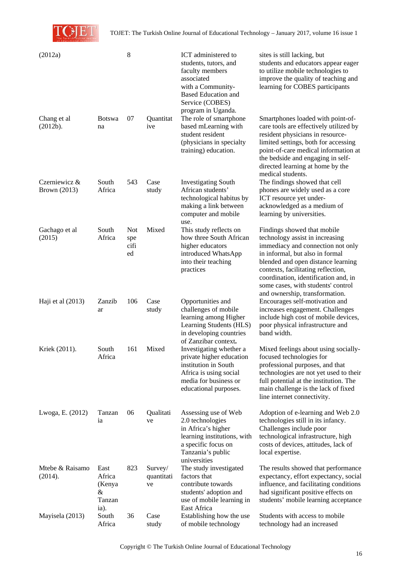TCHE

TOJET: The Turkish Online Journal of Educational Technology – January 2017, volume 16 issue 1

| (2012a)                              |                                                 | 8                               |                             | ICT administered to<br>students, tutors, and<br>faculty members<br>associated<br>with a Community-<br><b>Based Education and</b><br>Service (COBES)       | sites is still lacking, but<br>students and educators appear eager<br>to utilize mobile technologies to<br>improve the quality of teaching and<br>learning for COBES participants                                                                                                                |
|--------------------------------------|-------------------------------------------------|---------------------------------|-----------------------------|-----------------------------------------------------------------------------------------------------------------------------------------------------------|--------------------------------------------------------------------------------------------------------------------------------------------------------------------------------------------------------------------------------------------------------------------------------------------------|
| Chang et al<br>(2012b).              | <b>Botswa</b><br>na                             | 07                              | Quantitat<br>ive            | program in Uganda.<br>The role of smartphone<br>based mLearning with<br>student resident<br>(physicians in specialty<br>training) education.              | Smartphones loaded with point-of-<br>care tools are effectively utilized by<br>resident physicians in resource-<br>limited settings, both for accessing<br>point-of-care medical information at<br>the bedside and engaging in self-<br>directed learning at home by the<br>medical students.    |
| Czerniewicz &<br><b>Brown</b> (2013) | South<br>Africa                                 | 543                             | Case<br>study               | <b>Investigating South</b><br>African students'<br>technological habitus by<br>making a link between<br>computer and mobile<br>use.                       | The findings showed that cell<br>phones are widely used as a core<br>ICT resource yet under-<br>acknowledged as a medium of<br>learning by universities.                                                                                                                                         |
| Gachago et al<br>(2015)              | South<br>Africa                                 | <b>Not</b><br>spe<br>cifi<br>ed | Mixed                       | This study reflects on<br>how three South African<br>higher educators<br>introduced WhatsApp<br>into their teaching<br>practices                          | Findings showed that mobile<br>technology assist in increasing<br>immediacy and connection not only<br>in informal, but also in formal<br>blended and open distance learning<br>contexts, facilitating reflection,<br>coordination, identification and, in<br>some cases, with students' control |
| Haji et al $(2013)$                  | Zanzib<br>ar                                    | 106                             | Case<br>study               | Opportunities and<br>challenges of mobile<br>learning among Higher<br>Learning Students (HLS)<br>in developing countries<br>of Zanzibar context.          | and ownership, transformation.<br>Encourages self-motivation and<br>increases engagement. Challenges<br>include high cost of mobile devices,<br>poor physical infrastructure and<br>band width.                                                                                                  |
| Kriek (2011).                        | South<br>Africa                                 | 161                             | Mixed                       | Investigating whether a<br>private higher education<br>institution in South<br>Africa is using social<br>media for business or<br>educational purposes.   | Mixed feelings about using socially-<br>focused technologies for<br>professional purposes, and that<br>technologies are not yet used to their<br>full potential at the institution. The<br>main challenge is the lack of fixed<br>line internet connectivity.                                    |
| Lwoga, E. (2012)                     | Tanzan<br>ia                                    | 06                              | Qualitati<br>ve             | Assessing use of Web<br>2.0 technologies<br>in Africa's higher<br>learning institutions, with<br>a specific focus on<br>Tanzania's public<br>universities | Adoption of e-learning and Web 2.0<br>technologies still in its infancy.<br>Challenges include poor<br>technological infrastructure, high<br>costs of devices, attitudes, lack of<br>local expertise.                                                                                            |
| Mtebe & Raisamo<br>(2014).           | East<br>Africa<br>(Kenya<br>&<br>Tanzan<br>ia). | 823                             | Survey/<br>quantitati<br>ve | The study investigated<br>factors that<br>contribute towards<br>students' adoption and<br>use of mobile learning in<br>East Africa                        | The results showed that performance<br>expectancy, effort expectancy, social<br>influence, and facilitating conditions<br>had significant positive effects on<br>students' mobile learning acceptance                                                                                            |
| Mayisela (2013)                      | South<br>Africa                                 | 36                              | Case<br>study               | Establishing how the use<br>of mobile technology                                                                                                          | Students with access to mobile<br>technology had an increased                                                                                                                                                                                                                                    |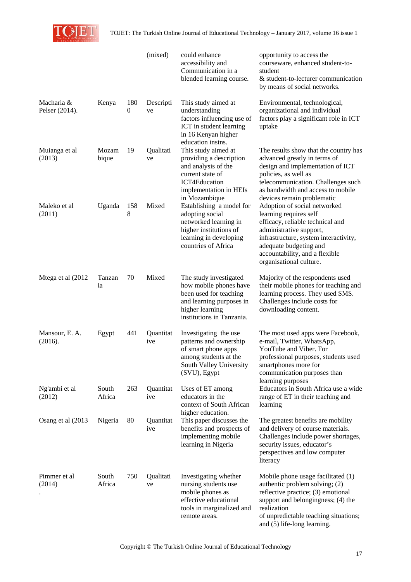

|                              |                 |                       | (mixed)          | could enhance<br>accessibility and<br>Communication in a<br>blended learning course.                                                                   | opportunity to access the<br>courseware, enhanced student-to-<br>student<br>& student-to-lecturer communication<br>by means of social networks.                                                                                                       |
|------------------------------|-----------------|-----------------------|------------------|--------------------------------------------------------------------------------------------------------------------------------------------------------|-------------------------------------------------------------------------------------------------------------------------------------------------------------------------------------------------------------------------------------------------------|
| Macharia &<br>Pelser (2014). | Kenya           | 180<br>$\overline{0}$ | Descripti<br>ve  | This study aimed at<br>understanding<br>factors influencing use of<br>ICT in student learning<br>in 16 Kenyan higher<br>education instns.              | Environmental, technological,<br>organizational and individual<br>factors play a significant role in ICT<br>uptake                                                                                                                                    |
| Muianga et al<br>(2013)      | Mozam<br>bique  | 19                    | Qualitati<br>ve  | This study aimed at<br>providing a description<br>and analysis of the<br>current state of<br>ICT4Education<br>implementation in HEIs<br>in Mozambique  | The results show that the country has<br>advanced greatly in terms of<br>design and implementation of ICT<br>policies, as well as<br>telecommunication. Challenges such<br>as bandwidth and access to mobile<br>devices remain problematic            |
| Maleko et al<br>(2011)       | Uganda          | 158<br>8              | Mixed            | Establishing a model for<br>adopting social<br>networked learning in<br>higher institutions of<br>learning in developing<br>countries of Africa        | Adoption of social networked<br>learning requires self<br>efficacy, reliable technical and<br>administrative support,<br>infrastructure, system interactivity,<br>adequate budgeting and<br>accountability, and a flexible<br>organisational culture. |
| Mtega et al (2012            | Tanzan<br>ia    | 70                    | Mixed            | The study investigated<br>how mobile phones have<br>been used for teaching<br>and learning purposes in<br>higher learning<br>institutions in Tanzania. | Majority of the respondents used<br>their mobile phones for teaching and<br>learning process. They used SMS.<br>Challenges include costs for<br>downloading content.                                                                                  |
| Mansour, E. A.<br>(2016).    | Egypt           | 441                   | Quantitat<br>ive | Investigating the use<br>patterns and ownership<br>of smart phone apps<br>among students at the<br>South Valley University<br>(SVU), Egypt             | The most used apps were Facebook,<br>e-mail, Twitter, WhatsApp,<br>YouTube and Viber. For<br>professional purposes, students used<br>smartphones more for<br>communication purposes than<br>learning purposes                                         |
| Ng'ambi et al<br>(2012)      | South<br>Africa | 263                   | Quantitat<br>ive | Uses of ET among<br>educators in the<br>context of South African<br>higher education.                                                                  | Educators in South Africa use a wide<br>range of ET in their teaching and<br>learning                                                                                                                                                                 |
| Osang et al (2013)           | Nigeria         | 80                    | Quantitat<br>ive | This paper discusses the<br>benefits and prospects of<br>implementing mobile<br>learning in Nigeria                                                    | The greatest benefits are mobility<br>and delivery of course materials.<br>Challenges include power shortages,<br>security issues, educator's<br>perspectives and low computer<br>literacy                                                            |
| Pimmer et al<br>(2014)       | South<br>Africa | 750                   | Qualitati<br>ve  | Investigating whether<br>nursing students use<br>mobile phones as<br>effective educational<br>tools in marginalized and<br>remote areas.               | Mobile phone usage facilitated (1)<br>authentic problem solving; (2)<br>reflective practice; (3) emotional<br>support and belongingness; (4) the<br>realization<br>of unpredictable teaching situations;<br>and (5) life-long learning.               |